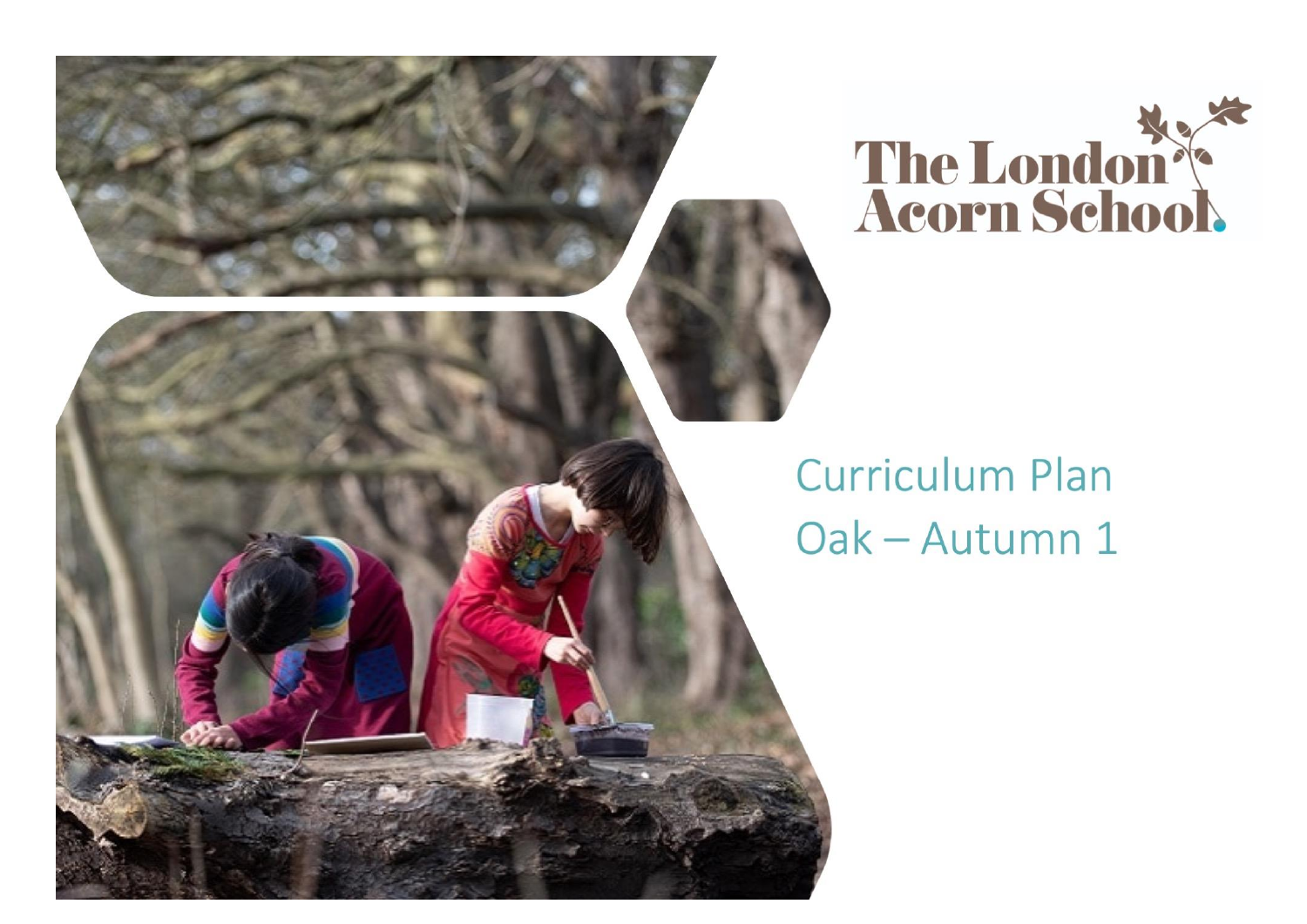

## **Curriculum Plan** Oak - Autumn 1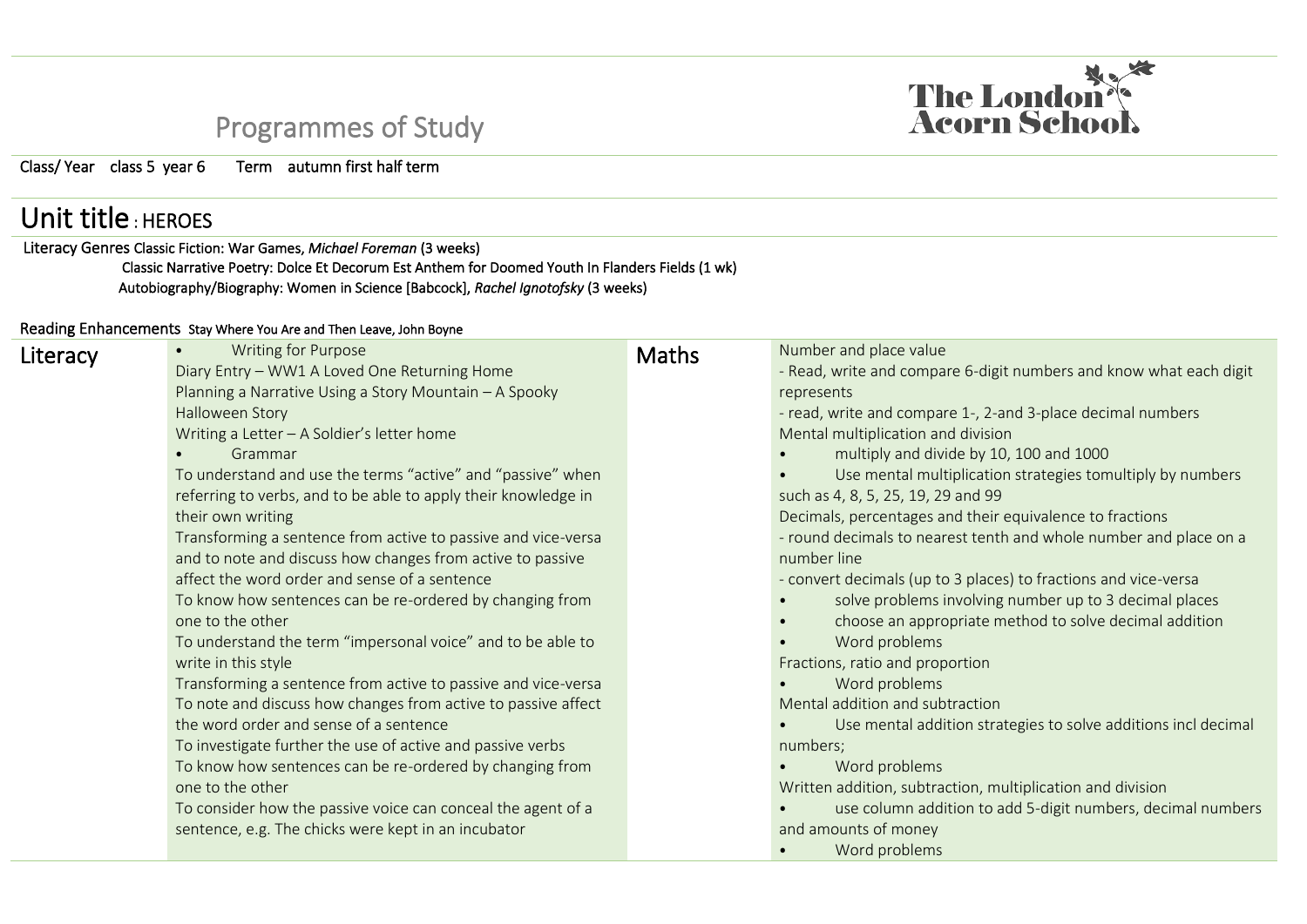## Programmes of Study

Class/ Year class 5 year 6 Term autumn first half term

## Unit title : HEROES

Literacy Genres Classic Fiction: War Games, *Michael Foreman* (3 weeks) Classic Narrative Poetry: Dolce Et Decorum Est Anthem for Doomed Youth In Flanders Fields (1 wk) Autobiography/Biography: Women in Science [Babcock], *Rachel Ignotofsky* (3 weeks)

## Reading Enhancements Stay Where You Are and Then Leave, John Boyne

| Literacy | <b>Writing for Purpose</b><br>$\bullet$                        | <b>Maths</b> | Number and place value                                              |
|----------|----------------------------------------------------------------|--------------|---------------------------------------------------------------------|
|          | Diary Entry - WW1 A Loved One Returning Home                   |              | - Read, write and compare 6-digit numbers and know what each digit  |
|          | Planning a Narrative Using a Story Mountain - A Spooky         |              | represents                                                          |
|          | Halloween Story                                                |              | - read, write and compare 1-, 2-and 3-place decimal numbers         |
|          | Writing a Letter - A Soldier's letter home                     |              | Mental multiplication and division                                  |
|          | Grammar                                                        |              | multiply and divide by 10, 100 and 1000                             |
|          | To understand and use the terms "active" and "passive" when    |              | Use mental multiplication strategies tomultiply by numbers          |
|          | referring to verbs, and to be able to apply their knowledge in |              | such as 4, 8, 5, 25, 19, 29 and 99                                  |
|          | their own writing                                              |              | Decimals, percentages and their equivalence to fractions            |
|          | Transforming a sentence from active to passive and vice-versa  |              | - round decimals to nearest tenth and whole number and place on a   |
|          | and to note and discuss how changes from active to passive     |              | number line                                                         |
|          | affect the word order and sense of a sentence                  |              | - convert decimals (up to 3 places) to fractions and vice-versa     |
|          | To know how sentences can be re-ordered by changing from       |              | solve problems involving number up to 3 decimal places              |
|          | one to the other                                               |              | choose an appropriate method to solve decimal addition<br>$\bullet$ |
|          | To understand the term "impersonal voice" and to be able to    |              | Word problems                                                       |
|          | write in this style                                            |              | Fractions, ratio and proportion                                     |
|          | Transforming a sentence from active to passive and vice-versa  |              | Word problems                                                       |
|          | To note and discuss how changes from active to passive affect  |              | Mental addition and subtraction                                     |
|          | the word order and sense of a sentence                         |              | Use mental addition strategies to solve additions incl decimal      |
|          | To investigate further the use of active and passive verbs     |              | numbers;                                                            |
|          | To know how sentences can be re-ordered by changing from       |              | Word problems                                                       |
|          | one to the other                                               |              | Written addition, subtraction, multiplication and division          |
|          | To consider how the passive voice can conceal the agent of a   |              | use column addition to add 5-digit numbers, decimal numbers         |
|          | sentence, e.g. The chicks were kept in an incubator            |              | and amounts of money                                                |
|          |                                                                |              | Word problems                                                       |

The London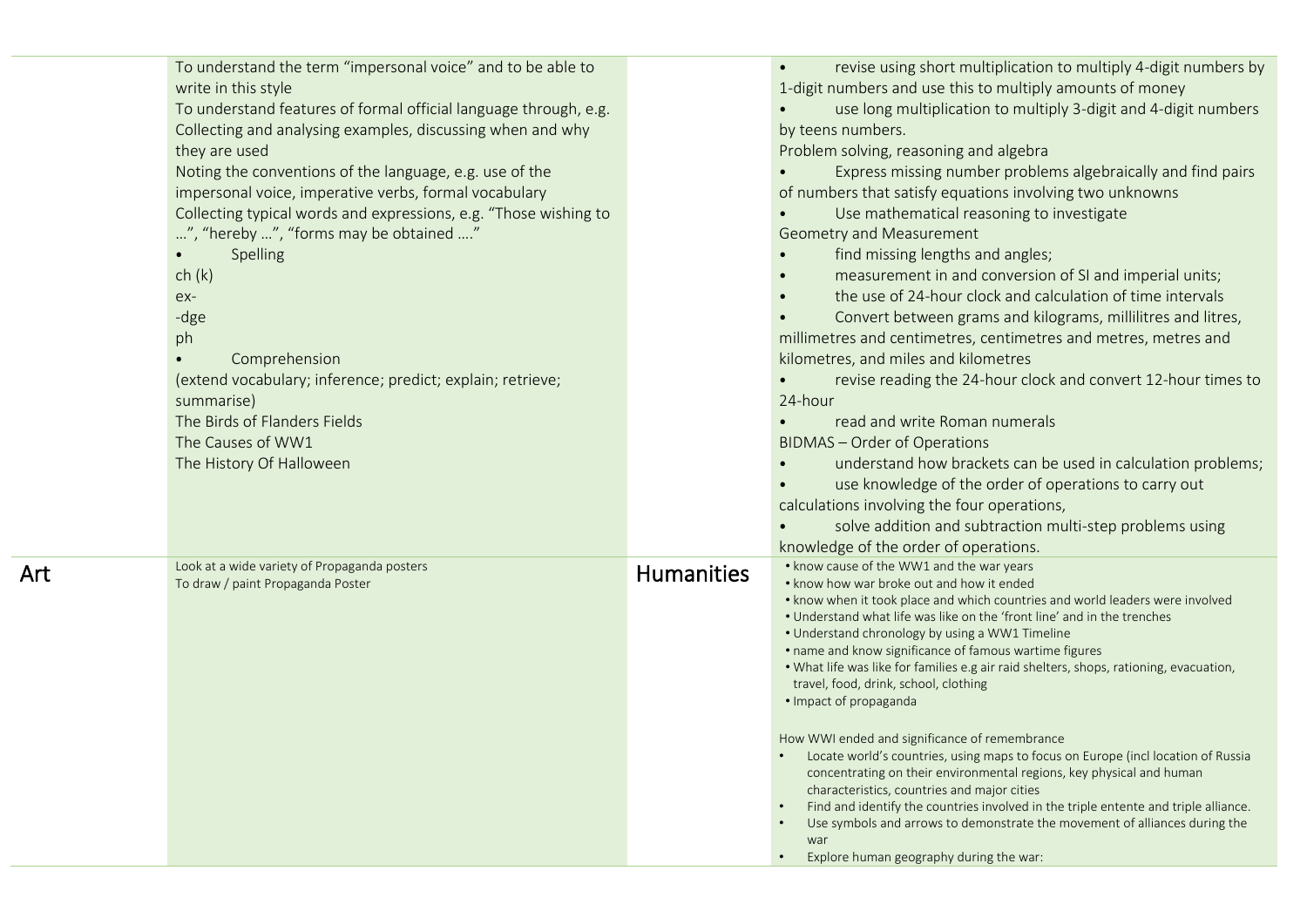|     | To understand the term "impersonal voice" and to be able to<br>write in this style<br>To understand features of formal official language through, e.g.<br>Collecting and analysing examples, discussing when and why<br>they are used<br>Noting the conventions of the language, e.g. use of the<br>impersonal voice, imperative verbs, formal vocabulary<br>Collecting typical words and expressions, e.g. "Those wishing to<br>", "hereby ", "forms may be obtained "<br>Spelling<br>$\bullet$<br>ch(k)<br>ex-<br>-dge<br>ph<br>Comprehension<br>$\bullet$<br>(extend vocabulary; inference; predict; explain; retrieve;<br>summarise)<br>The Birds of Flanders Fields<br>The Causes of WW1<br>The History Of Halloween |                   | revise using short multiplication to multiply 4-digit numbers by<br>$\bullet$<br>1-digit numbers and use this to multiply amounts of money<br>use long multiplication to multiply 3-digit and 4-digit numbers<br>by teens numbers.<br>Problem solving, reasoning and algebra<br>Express missing number problems algebraically and find pairs<br>of numbers that satisfy equations involving two unknowns<br>Use mathematical reasoning to investigate<br>Geometry and Measurement<br>find missing lengths and angles;<br>$\bullet$<br>measurement in and conversion of SI and imperial units;<br>the use of 24-hour clock and calculation of time intervals<br>Convert between grams and kilograms, millilitres and litres,<br>millimetres and centimetres, centimetres and metres, metres and<br>kilometres, and miles and kilometres<br>revise reading the 24-hour clock and convert 12-hour times to<br>24-hour<br>read and write Roman numerals<br><b>BIDMAS - Order of Operations</b><br>understand how brackets can be used in calculation problems; |
|-----|---------------------------------------------------------------------------------------------------------------------------------------------------------------------------------------------------------------------------------------------------------------------------------------------------------------------------------------------------------------------------------------------------------------------------------------------------------------------------------------------------------------------------------------------------------------------------------------------------------------------------------------------------------------------------------------------------------------------------|-------------------|------------------------------------------------------------------------------------------------------------------------------------------------------------------------------------------------------------------------------------------------------------------------------------------------------------------------------------------------------------------------------------------------------------------------------------------------------------------------------------------------------------------------------------------------------------------------------------------------------------------------------------------------------------------------------------------------------------------------------------------------------------------------------------------------------------------------------------------------------------------------------------------------------------------------------------------------------------------------------------------------------------------------------------------------------------|
|     |                                                                                                                                                                                                                                                                                                                                                                                                                                                                                                                                                                                                                                                                                                                           |                   | use knowledge of the order of operations to carry out<br>calculations involving the four operations,                                                                                                                                                                                                                                                                                                                                                                                                                                                                                                                                                                                                                                                                                                                                                                                                                                                                                                                                                       |
|     |                                                                                                                                                                                                                                                                                                                                                                                                                                                                                                                                                                                                                                                                                                                           |                   | solve addition and subtraction multi-step problems using<br>knowledge of the order of operations.                                                                                                                                                                                                                                                                                                                                                                                                                                                                                                                                                                                                                                                                                                                                                                                                                                                                                                                                                          |
| Art | Look at a wide variety of Propaganda posters<br>To draw / paint Propaganda Poster                                                                                                                                                                                                                                                                                                                                                                                                                                                                                                                                                                                                                                         | <b>Humanities</b> | • know cause of the WW1 and the war years<br>• know how war broke out and how it ended<br>. know when it took place and which countries and world leaders were involved<br>. Understand what life was like on the 'front line' and in the trenches<br>• Understand chronology by using a WW1 Timeline<br>• name and know significance of famous wartime figures<br>. What life was like for families e.g air raid shelters, shops, rationing, evacuation,<br>travel, food, drink, school, clothing<br>· Impact of propaganda<br>How WWI ended and significance of remembrance<br>Locate world's countries, using maps to focus on Europe (incl location of Russia<br>concentrating on their environmental regions, key physical and human<br>characteristics, countries and major cities<br>Find and identify the countries involved in the triple entente and triple alliance.<br>Use symbols and arrows to demonstrate the movement of alliances during the<br>$\bullet$<br>war                                                                          |
|     |                                                                                                                                                                                                                                                                                                                                                                                                                                                                                                                                                                                                                                                                                                                           |                   | Explore human geography during the war:                                                                                                                                                                                                                                                                                                                                                                                                                                                                                                                                                                                                                                                                                                                                                                                                                                                                                                                                                                                                                    |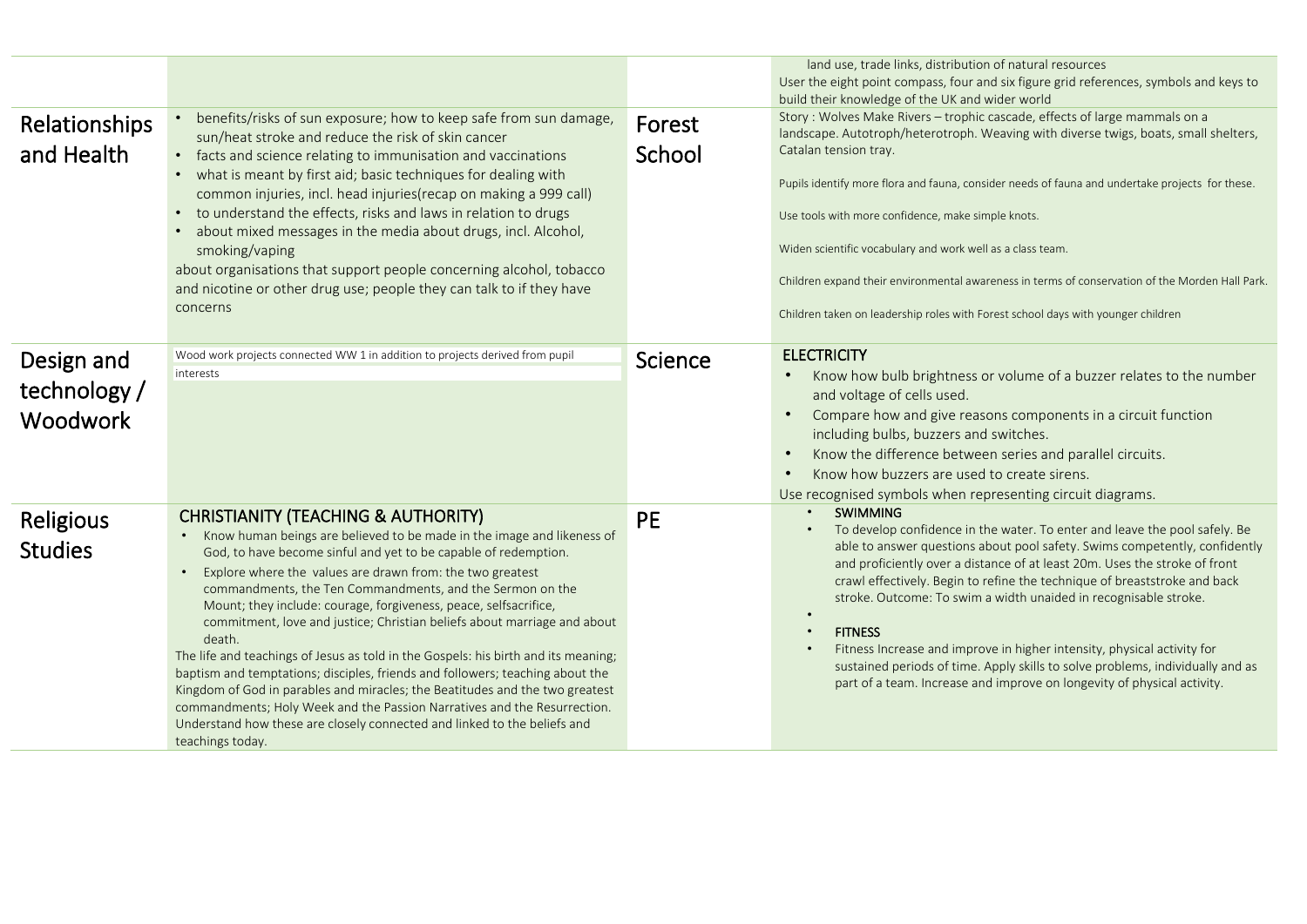| Relationships<br>and Health            | benefits/risks of sun exposure; how to keep safe from sun damage,<br>sun/heat stroke and reduce the risk of skin cancer<br>facts and science relating to immunisation and vaccinations<br>$\bullet$<br>what is meant by first aid; basic techniques for dealing with<br>$\bullet$<br>common injuries, incl. head injuries (recap on making a 999 call)<br>to understand the effects, risks and laws in relation to drugs<br>$\bullet$<br>about mixed messages in the media about drugs, incl. Alcohol,<br>$\bullet$<br>smoking/vaping<br>about organisations that support people concerning alcohol, tobacco<br>and nicotine or other drug use; people they can talk to if they have<br>concerns                                                                                                                                                                                                                                  | Forest<br>School | land use, trade links, distribution of natural resources<br>User the eight point compass, four and six figure grid references, symbols and keys to<br>build their knowledge of the UK and wider world<br>Story: Wolves Make Rivers - trophic cascade, effects of large mammals on a<br>landscape. Autotroph/heterotroph. Weaving with diverse twigs, boats, small shelters,<br>Catalan tension tray.<br>Pupils identify more flora and fauna, consider needs of fauna and undertake projects for these.<br>Use tools with more confidence, make simple knots.<br>Widen scientific vocabulary and work well as a class team.<br>Children expand their environmental awareness in terms of conservation of the Morden Hall Park.<br>Children taken on leadership roles with Forest school days with younger children |
|----------------------------------------|-----------------------------------------------------------------------------------------------------------------------------------------------------------------------------------------------------------------------------------------------------------------------------------------------------------------------------------------------------------------------------------------------------------------------------------------------------------------------------------------------------------------------------------------------------------------------------------------------------------------------------------------------------------------------------------------------------------------------------------------------------------------------------------------------------------------------------------------------------------------------------------------------------------------------------------|------------------|--------------------------------------------------------------------------------------------------------------------------------------------------------------------------------------------------------------------------------------------------------------------------------------------------------------------------------------------------------------------------------------------------------------------------------------------------------------------------------------------------------------------------------------------------------------------------------------------------------------------------------------------------------------------------------------------------------------------------------------------------------------------------------------------------------------------|
| Design and<br>technology /<br>Woodwork | Wood work projects connected WW 1 in addition to projects derived from pupil<br>interests                                                                                                                                                                                                                                                                                                                                                                                                                                                                                                                                                                                                                                                                                                                                                                                                                                         | Science          | <b>ELECTRICITY</b><br>Know how bulb brightness or volume of a buzzer relates to the number<br>$\bullet$<br>and voltage of cells used.<br>Compare how and give reasons components in a circuit function<br>including bulbs, buzzers and switches.<br>Know the difference between series and parallel circuits.<br>Know how buzzers are used to create sirens.<br>Use recognised symbols when representing circuit diagrams.                                                                                                                                                                                                                                                                                                                                                                                         |
| Religious<br><b>Studies</b>            | <b>CHRISTIANITY (TEACHING &amp; AUTHORITY)</b><br>• Know human beings are believed to be made in the image and likeness of<br>God, to have become sinful and yet to be capable of redemption.<br>Explore where the values are drawn from: the two greatest<br>$\bullet$<br>commandments, the Ten Commandments, and the Sermon on the<br>Mount; they include: courage, forgiveness, peace, selfsacrifice,<br>commitment, love and justice; Christian beliefs about marriage and about<br>death.<br>The life and teachings of Jesus as told in the Gospels: his birth and its meaning;<br>baptism and temptations; disciples, friends and followers; teaching about the<br>Kingdom of God in parables and miracles; the Beatitudes and the two greatest<br>commandments; Holy Week and the Passion Narratives and the Resurrection.<br>Understand how these are closely connected and linked to the beliefs and<br>teachings today. | <b>PE</b>        | <b>SWIMMING</b><br>To develop confidence in the water. To enter and leave the pool safely. Be<br>able to answer questions about pool safety. Swims competently, confidently<br>and proficiently over a distance of at least 20m. Uses the stroke of front<br>crawl effectively. Begin to refine the technique of breaststroke and back<br>stroke. Outcome: To swim a width unaided in recognisable stroke.<br><b>FITNESS</b><br>Fitness Increase and improve in higher intensity, physical activity for<br>sustained periods of time. Apply skills to solve problems, individually and as<br>part of a team. Increase and improve on longevity of physical activity.                                                                                                                                               |